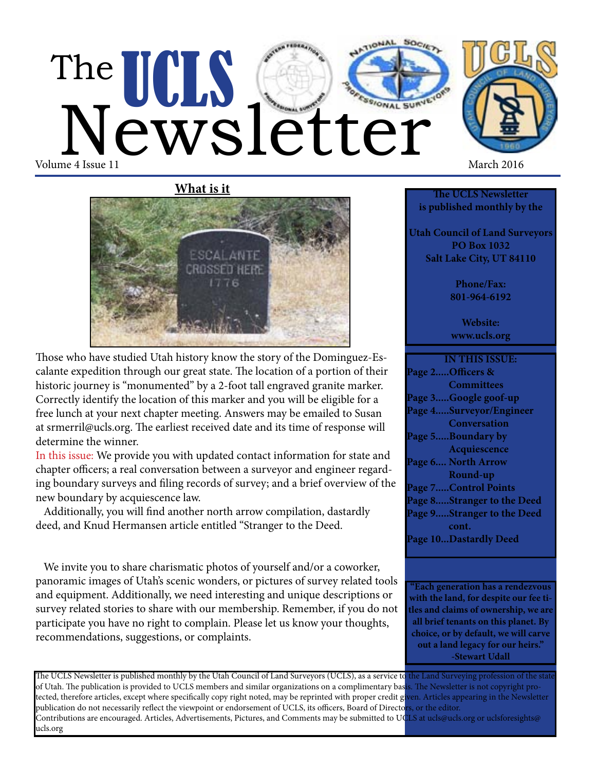# The UCLS Cetter Volume 4 Issue 11 March 2016



Those who have studied Utah history know the story of the Dominguez-Escalante expedition through our great state. The location of a portion of their historic journey is "monumented" by a 2-foot tall engraved granite marker. Correctly identify the location of this marker and you will be eligible for a free lunch at your next chapter meeting. Answers may be emailed to Susan at srmerril@ucls.org. The earliest received date and its time of response will determine the winner.

In this issue: We provide you with updated contact information for state and chapter officers; a real conversation between a surveyor and engineer regarding boundary surveys and filing records of survey; and a brief overview of the new boundary by acquiescence law.

 Additionally, you will find another north arrow compilation, dastardly deed, and Knud Hermansen article entitled "Stranger to the Deed.

 We invite you to share charismatic photos of yourself and/or a coworker, panoramic images of Utah's scenic wonders, or pictures of survey related tools and equipment. Additionally, we need interesting and unique descriptions or survey related stories to share with our membership. Remember, if you do not participate you have no right to complain. Please let us know your thoughts, recommendations, suggestions, or complaints.



**The UCLS Newsletter is published monthly by the**

**Utah Council of Land Surveyors PO Box 1032 Salt Lake City, UT 84110**

> **Phone/Fax: 801-964-6192**

**Website: www.ucls.org**

**IN THIS ISSUE: Page 2.....Officers & Committees Page 3.....Google goof-up Page 4.....Surveyor/Engineer Conversation Page 5.....Boundary by Acquiescence Page 6.... North Arrow Round-up Page 7.....Control Points Page 8.....Stranger to the Deed Page 9.....Stranger to the Deed cont. Page 10...Dastardly Deed**

**"Each generation has a rendezvous with the land, for despite our fee titles and claims of ownership, we are all brief tenants on this planet. By choice, or by default, we will carve out a land legacy for our heirs." -Stewart Udall**

The UCLS Newsletter is published monthly by the Utah Council of Land Surveyors (UCLS), as a service to the Land Surveying profession of the stat of Utah. The publication is provided to UCLS members and similar organizations on a complimentary basis. The Newsletter is not copyright protected, therefore articles, except where specifically copy right noted, may be reprinted with proper credit given. Articles appearing in the Newsletter publication do not necessarily reflect the viewpoint or endorsement of UCLS, its officers, Board of Directors, or the editor. Contributions are encouraged. Articles, Advertisements, Pictures, and Comments may be submitted to UCLS at ucls@ucls.org or uclsforesights@ ucls.org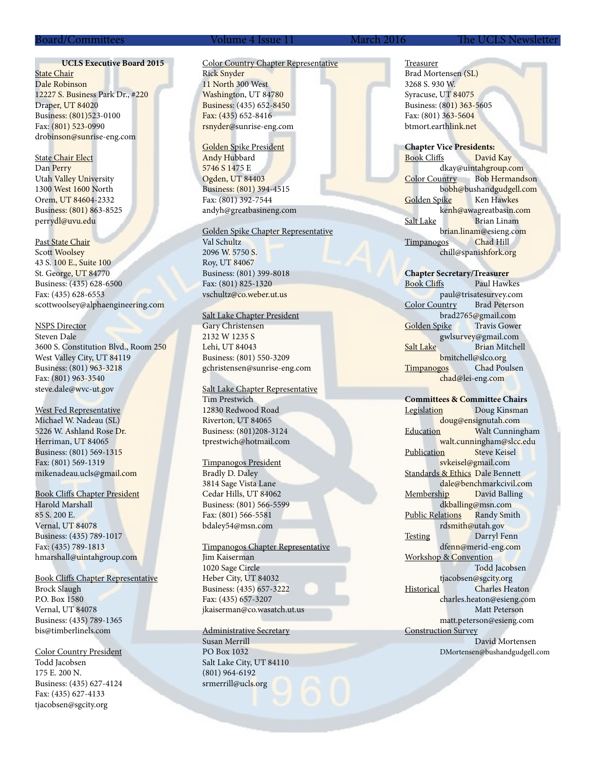### Board/Committees Volume 4 Issue 11 March 2016 The UCLS Newsletter

# **UCLS Executive Board 2015**

**State Chair** Dale Robinson 12227 S. Business Park Dr., #220 Draper, UT 84020 Business: (801)523-0100 Fax: (801) 523-0990 drobinson@sunrise-eng.com

State Chair Elect Dan Perry Utah Valley University 1300 West 1600 North Orem, UT 84604-2332 Business: (801) 863-8525 perrydl@uvu.edu

Past State Chair Scott Woolsey 43 S. 100 E., Suite 100 St. George, UT 84770 Business: (435) 628-6500 Fax: (435) 628-6553 scottwoolsey@alphaengineering.com

### NSPS Director

Steven Dale 3600 S. Constitution Blvd., Room 250 West Valley City, UT 84119 Business: (801) 963-3218 Fax: (801) 963-3540 steve.dale@wvc-ut.gov

West Fed Representative Michael W. Nadeau (SL) 5226 W. Ashland Rose Dr. Herriman, UT 84065 Business: (801) 569-1315 Fax: (801) 569-1319 mikenadeau.ucls@gmail.com

Book Cliffs Chapter President

Harold Marshall 85 S. 200 E. Vernal, UT 84078 Business: (435) 789-1017 Fax: (435) 789-1813 hmarshall@uintahgroup.com

Book Cliffs Chapter Representative Brock Slaugh P.O. Box 1580 Vernal, UT 84078 Business: (435) 789-1365 bis@timberlinels.com

Color Country President Todd Jacobsen 175 E. 200 N. Business: (435) 627-4124 Fax: (435) 627-4133 tjacobsen@sgcity.org

# Color Country Chapter Representative Rick Snyder 11 North 300 West Washington, UT 84780 Business: (435) 652-8450 Fax: (435) 652-8416 rsnyder@sunrise-eng.com

Golden Spike President Andy Hubbard 5746 S 1475 E Ogden, UT 84403 Business: (801) 394-4515 Fax: (801) 392-7544 andyh@greatbasineng.com

### Golden Spike Chapter Representative

Val Schultz 2096 W. 5750 S. Roy, UT 84067 Business: (801) 399-8018 Fax: (801) 825-1320 vschultz@co.weber.ut.us

## Salt Lake Chapter President

Gary Christensen 2132 W 1235 S Lehi, UT 84043 Business: (801) 550-3209 gchristensen@sunrise-eng.com

### Salt Lake Chapter Representative Tim Prestwich 12830 Redwood Road Riverton, UT 84065 Business: (801)208-3124 tprestwich@hotmail.com

### Timpanogos President

Bradly D. Daley 3814 Sage Vista Lane Cedar Hills, UT 84062 Business: (801) 566-5599 Fax: (801) 566-5581 bdaley54@msn.com

# Timpanogos Chapter Representative

Jim Kaiserman 1020 Sage Circle Heber City, UT 84032 Business: (435) 657-3222 Fax: (435) 657-3207 jkaiserman@co.wasatch.ut.us

# Administrative Secretary

Susan Merrill PO Box 1032 Salt Lake City, UT 84110 (801) 964-6192 srmerrill@ucls.org

Treasurer Brad Mortensen (SL) 3268 S. 930 W. Syracuse, UT 84075

Business: (801) 363-5605 Fax: (801) 363-5604 btmort.earthlink.net

**Chapter Vice Presidents:** Book Cliffs David Kay dkay@uintahgroup.com Color Country Bob Hermandson bobh@bushandgudgell.com Golden Spike Ken Hawkes kenh@awagreatbasin.com Salt Lake Brian Linam brian.linam@esieng.com Timpanogos Chad Hill chill@spanishfork.org

**Chapter Secretary/Treasurer** Book Cliffs Paul Hawkes paul@trisatesurvey.com Color Country Brad Peterson brad2765@gmail.com<br>
bike Travis Gower Golden Spike gwlsurvey@gmail.com Salt Lake Brian Mitchell bmitchell@slco.org Timpanogos Chad Poulsen chad@lei-eng.com

# **Committees & Committee Chairs**

Legislation Doug Kinsman doug@ensignutah.com Education Walt Cunningham walt.cunningham@slcc.edu Publication Steve Keisel svkeisel@gmail.com Standards & Ethics Dale Bennett dale@benchmarkcivil.com Membership David Balling dkballing@msn.com Public Relations Randy Smith rdsmith@utah.gov Testing Darryl Fenn dfenn@merid-eng.com Workshop & Convention Todd Jacobsen tjacobsen@sgcity.org<br>Historical Charles He Charles Heaton charles.heaton@esieng.com Matt Peterson matt.peterson@esieng.com Construction Survey David Mortensen DMortensen@bushandgudgell.com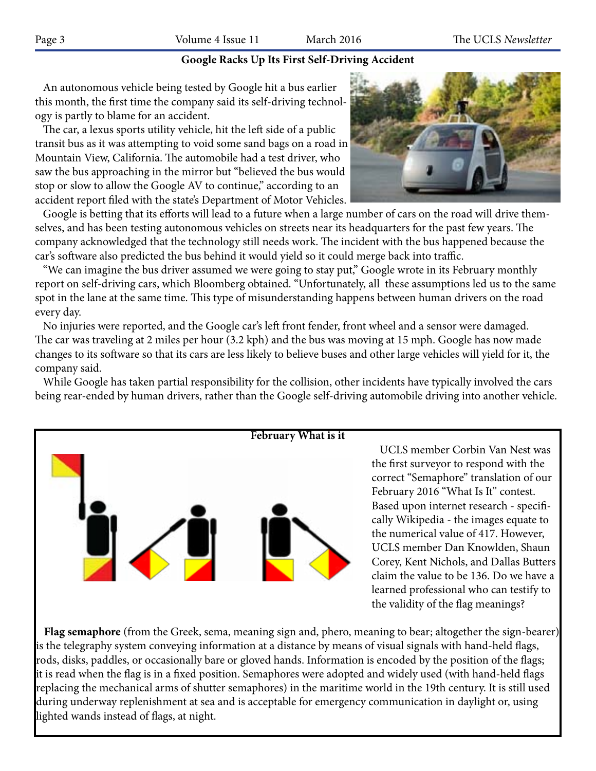# **Google Racks Up Its First Self-Driving Accident**

 An autonomous vehicle being tested by Google hit a bus earlier this month, the first time the company said its self-driving technology is partly to blame for an accident.

 The car, a lexus sports utility vehicle, hit the left side of a public transit bus as it was attempting to void some sand bags on a road in Mountain View, California. The automobile had a test driver, who saw the bus approaching in the mirror but "believed the bus would stop or slow to allow the Google AV to continue," according to an accident report filed with the state's Department of Motor Vehicles.



 Google is betting that its efforts will lead to a future when a large number of cars on the road will drive themselves, and has been testing autonomous vehicles on streets near its headquarters for the past few years. The company acknowledged that the technology still needs work. The incident with the bus happened because the car's software also predicted the bus behind it would yield so it could merge back into traffic.

 "We can imagine the bus driver assumed we were going to stay put," Google wrote in its February monthly report on self-driving cars, which Bloomberg obtained. "Unfortunately, all these assumptions led us to the same spot in the lane at the same time. This type of misunderstanding happens between human drivers on the road every day.

 No injuries were reported, and the Google car's left front fender, front wheel and a sensor were damaged. The car was traveling at 2 miles per hour (3.2 kph) and the bus was moving at 15 mph. Google has now made changes to its software so that its cars are less likely to believe buses and other large vehicles will yield for it, the company said.

 While Google has taken partial responsibility for the collision, other incidents have typically involved the cars being rear-ended by human drivers, rather than the Google self-driving automobile driving into another vehicle.



 UCLS member Corbin Van Nest was the first surveyor to respond with the correct "Semaphore" translation of our February 2016 "What Is It" contest. Based upon internet research - specifically Wikipedia - the images equate to the numerical value of 417. However, UCLS member Dan Knowlden, Shaun Corey, Kent Nichols, and Dallas Butters claim the value to be 136. Do we have a learned professional who can testify to the validity of the flag meanings?

 **Flag semaphore** (from the Greek, sema, meaning sign and, phero, meaning to bear; altogether the sign-bearer) is the telegraphy system conveying information at a distance by means of visual signals with hand-held flags, rods, disks, paddles, or occasionally bare or gloved hands. Information is encoded by the position of the flags; it is read when the flag is in a fixed position. Semaphores were adopted and widely used (with hand-held flags replacing the mechanical arms of shutter semaphores) in the maritime world in the 19th century. It is still used during underway replenishment at sea and is acceptable for emergency communication in daylight or, using lighted wands instead of flags, at night.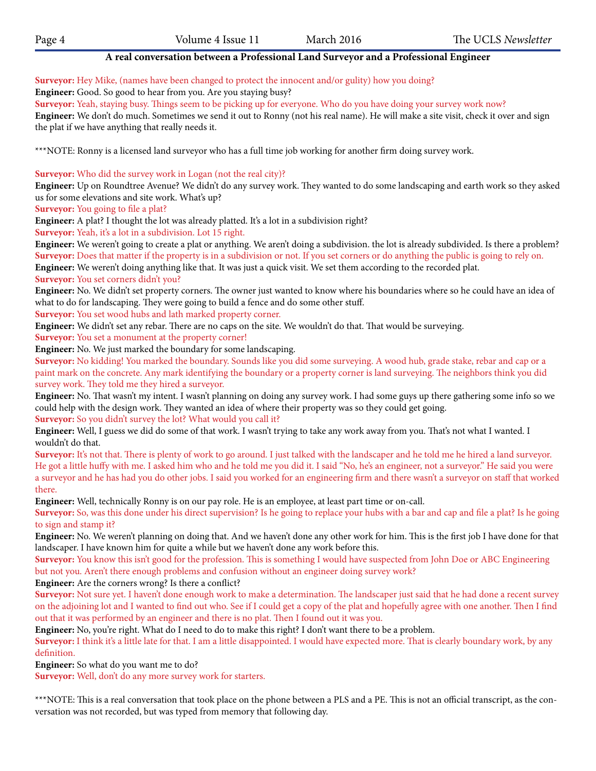# **A real conversation between a Professional Land Surveyor and a Professional Engineer**

**Surveyor:** Hey Mike, (names have been changed to protect the innocent and/or gulity) how you doing?

**Engineer:** Good. So good to hear from you. Are you staying busy?

**Surveyor:** Yeah, staying busy. Things seem to be picking up for everyone. Who do you have doing your survey work now?

**Engineer:** We don't do much. Sometimes we send it out to Ronny (not his real name). He will make a site visit, check it over and sign the plat if we have anything that really needs it.

\*\*\*NOTE: Ronny is a licensed land surveyor who has a full time job working for another firm doing survey work.

**Surveyor:** Who did the survey work in Logan (not the real city)?

**Engineer:** Up on Roundtree Avenue? We didn't do any survey work. They wanted to do some landscaping and earth work so they asked us for some elevations and site work. What's up?

**Surveyor:** You going to file a plat?

**Engineer:** A plat? I thought the lot was already platted. It's a lot in a subdivision right?

**Surveyor:** Yeah, it's a lot in a subdivision. Lot 15 right.

**Engineer:** We weren't going to create a plat or anything. We aren't doing a subdivision. the lot is already subdivided. Is there a problem? **Surveyor:** Does that matter if the property is in a subdivision or not. If you set corners or do anything the public is going to rely on.

**Engineer:** We weren't doing anything like that. It was just a quick visit. We set them according to the recorded plat. **Surveyor:** You set corners didn't you?

**Engineer:** No. We didn't set property corners. The owner just wanted to know where his boundaries where so he could have an idea of what to do for landscaping. They were going to build a fence and do some other stuff.

**Surveyor:** You set wood hubs and lath marked property corner.

**Engineer:** We didn't set any rebar. There are no caps on the site. We wouldn't do that. That would be surveying.

**Surveyor:** You set a monument at the property corner!

**Engineer:** No. We just marked the boundary for some landscaping.

**Surveyor:** No kidding! You marked the boundary. Sounds like you did some surveying. A wood hub, grade stake, rebar and cap or a paint mark on the concrete. Any mark identifying the boundary or a property corner is land surveying. The neighbors think you did survey work. They told me they hired a surveyor.

**Engineer:** No. That wasn't my intent. I wasn't planning on doing any survey work. I had some guys up there gathering some info so we could help with the design work. They wanted an idea of where their property was so they could get going. **Surveyor:** So you didn't survey the lot? What would you call it?

**Engineer:** Well, I guess we did do some of that work. I wasn't trying to take any work away from you. That's not what I wanted. I wouldn't do that.

**Surveyor:** It's not that. There is plenty of work to go around. I just talked with the landscaper and he told me he hired a land surveyor. He got a little huffy with me. I asked him who and he told me you did it. I said "No, he's an engineer, not a surveyor." He said you were a surveyor and he has had you do other jobs. I said you worked for an engineering firm and there wasn't a surveyor on staff that worked there.

**Engineer:** Well, technically Ronny is on our pay role. He is an employee, at least part time or on-call.

**Surveyor:** So, was this done under his direct supervision? Is he going to replace your hubs with a bar and cap and file a plat? Is he going to sign and stamp it?

**Engineer:** No. We weren't planning on doing that. And we haven't done any other work for him. This is the first job I have done for that landscaper. I have known him for quite a while but we haven't done any work before this.

**Surveyor:** You know this isn't good for the profession. This is something I would have suspected from John Doe or ABC Engineering but not you. Aren't there enough problems and confusion without an engineer doing survey work?

**Engineer:** Are the corners wrong? Is there a conflict?

**Surveyor:** Not sure yet. I haven't done enough work to make a determination. The landscaper just said that he had done a recent survey on the adjoining lot and I wanted to find out who. See if I could get a copy of the plat and hopefully agree with one another. Then I find out that it was performed by an engineer and there is no plat. Then I found out it was you.

**Engineer:** No, you're right. What do I need to do to make this right? I don't want there to be a problem.

Surveyor: I think it's a little late for that. I am a little disappointed. I would have expected more. That is clearly boundary work, by any definition.

**Engineer:** So what do you want me to do?

**Surveyor:** Well, don't do any more survey work for starters.

\*\*\*NOTE: This is a real conversation that took place on the phone between a PLS and a PE. This is not an official transcript, as the conversation was not recorded, but was typed from memory that following day.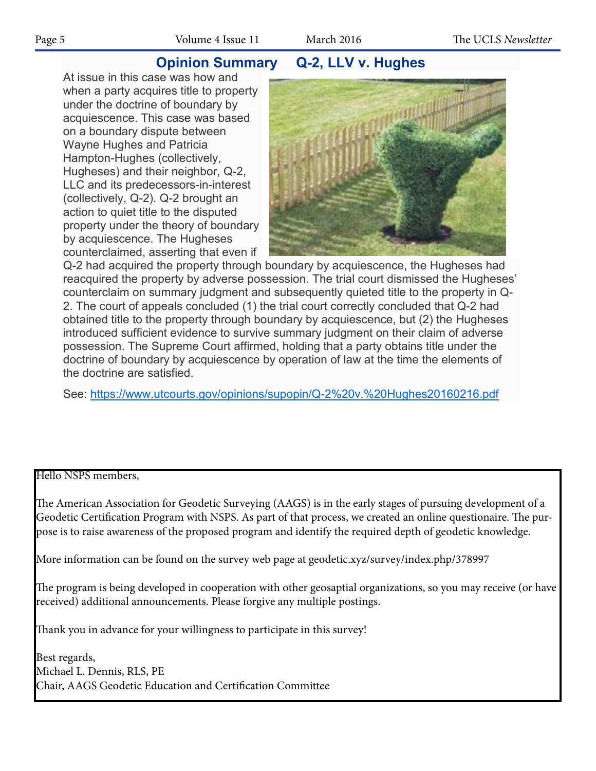# **Opinion Summary Q-2, LLV v. Hughes**

At issue in this case was how and when a party acquires title to property under the doctrine of boundary by acquiescence. This case was based on a boundary dispute between Wayne Hughes and Patricia Hampton-Hughes (collectively, Hugheses) and their neighbor, Q-2, LLC and its predecessors-in-interest (collectively, Q-2). Q-2 brought an action to quiet title to the disputed property under the theory of boundary by acquiescence. The Hugheses counterclaimed, asserting that even if



Q-2 had acquired the property through boundary by acquiescence, the Hugheses had reacquired the property by adverse possession. The trial court dismissed the Hugheses' counterclaim on summary judgment and subsequently quieted title to the property in Q-2. The court of appeals concluded (1) the trial court correctly concluded that Q-2 had obtained title to the property through boundary by acquiescence, but (2) the Hugheses introduced sufficient evidence to survive summary judgment on their claim of adverse possession. The Supreme Court affirmed, holding that a party obtains title under the doctrine of boundary by acquiescence by operation of law at the time the elements of the doctrine are satisfied.

See: https://www.utcourts.gov/opinions/supopin/Q-2%20v.%20Hughes20160216.pdf

# Hello NSPS members,

The American Association for Geodetic Surveying (AAGS) is in the early stages of pursuing development of a Geodetic Certification Program with NSPS. As part of that process, we created an online questionaire. The purpose is to raise awareness of the proposed program and identify the required depth of geodetic knowledge.

More information can be found on the survey web page at geodetic.xyz/survey/index.php/378997

The program is being developed in cooperation with other geosaptial organizations, so you may receive (or have received) additional announcements. Please forgive any multiple postings.

Thank you in advance for your willingness to participate in this survey!

Best regards, Michael L. Dennis, RLS, PE Chair, AAGS Geodetic Education and Certification Committee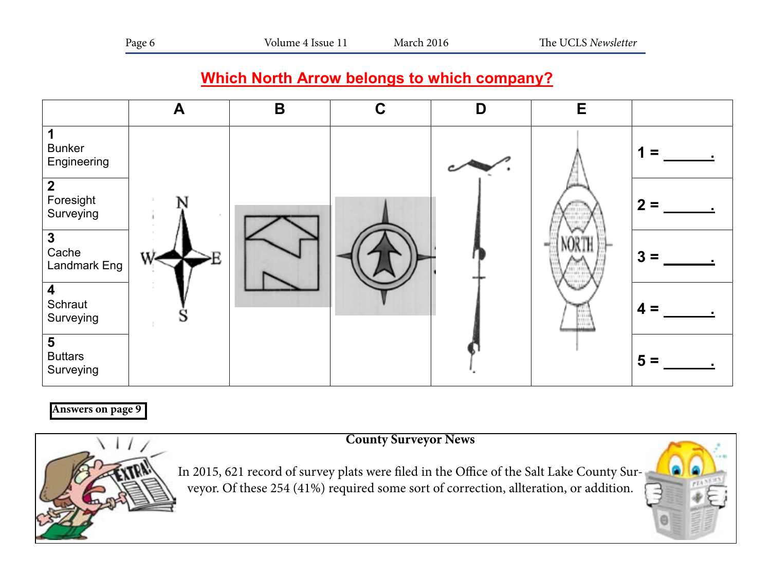# **Which North Arrow belongs to which company?**



# **Answers on page 9**





In 2015, 621 record of survey plats were filed in the Office of the Salt Lake County Surveyor. Of these 254 (41%) required some sort of correction, allteration, or addition.

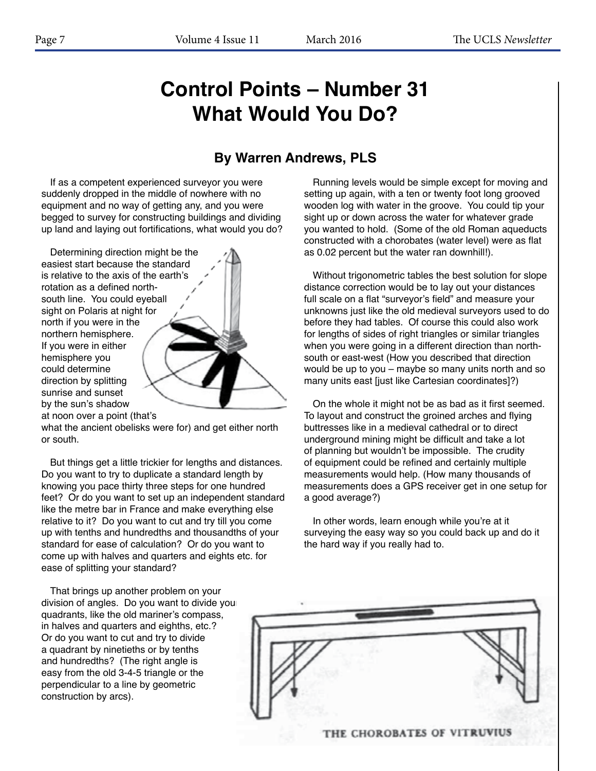# **Control Points – Number 31 What Would You Do?**

# **By Warren Andrews, PLS**

If as a competent experienced surveyor you were suddenly dropped in the middle of nowhere with no equipment and no way of getting any, and you were begged to survey for constructing buildings and dividing up land and laying out fortifications, what would you do?

Determining direction might be the easiest start because the standard is relative to the axis of the earth's rotation as a defined northsouth line. You could eyeball sight on Polaris at night for north if you were in the northern hemisphere. If you were in either hemisphere you could determine direction by splitting sunrise and sunset by the sun's shadow at noon over a point (that's

what the ancient obelisks were for) and get either north or south.

But things get a little trickier for lengths and distances. Do you want to try to duplicate a standard length by knowing you pace thirty three steps for one hundred feet? Or do you want to set up an independent standard like the metre bar in France and make everything else relative to it? Do you want to cut and try till you come up with tenths and hundredths and thousandths of your standard for ease of calculation? Or do you want to come up with halves and quarters and eights etc. for ease of splitting your standard?

That brings up another problem on your division of angles. Do you want to divide you quadrants, like the old mariner's compass, in halves and quarters and eighths, etc.? Or do you want to cut and try to divide a quadrant by ninetieths or by tenths and hundredths? (The right angle is easy from the old 3-4-5 triangle or the perpendicular to a line by geometric construction by arcs).

Running levels would be simple except for moving and setting up again, with a ten or twenty foot long grooved wooden log with water in the groove. You could tip your sight up or down across the water for whatever grade you wanted to hold. (Some of the old Roman aqueducts constructed with a chorobates (water level) were as flat as 0.02 percent but the water ran downhill!).

Without trigonometric tables the best solution for slope distance correction would be to lay out your distances full scale on a flat "surveyor's field" and measure your unknowns just like the old medieval surveyors used to do before they had tables. Of course this could also work for lengths of sides of right triangles or similar triangles when you were going in a different direction than northsouth or east-west (How you described that direction would be up to you – maybe so many units north and so many units east [just like Cartesian coordinates]?)

On the whole it might not be as bad as it first seemed. To layout and construct the groined arches and flying buttresses like in a medieval cathedral or to direct underground mining might be difficult and take a lot of planning but wouldn't be impossible. The crudity of equipment could be refined and certainly multiple measurements would help. (How many thousands of measurements does a GPS receiver get in one setup for a good average?)

In other words, learn enough while you're at it surveying the easy way so you could back up and do it the hard way if you really had to.

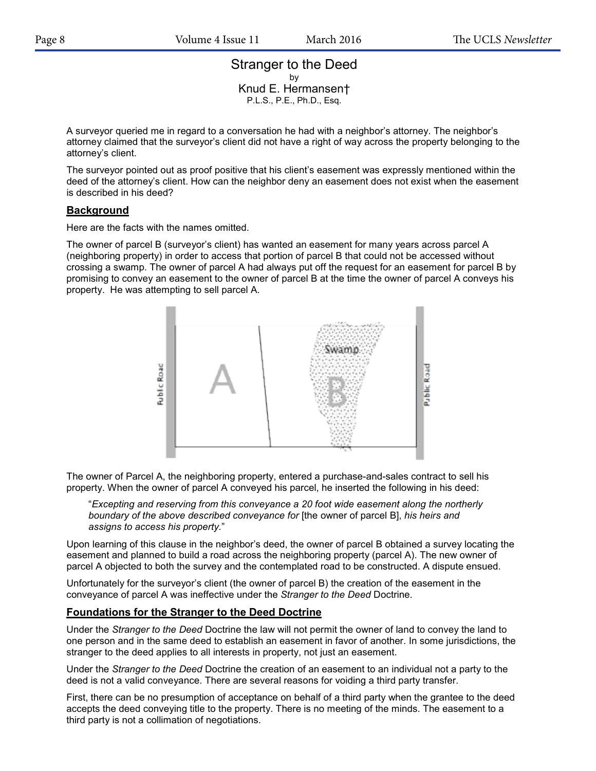# Stranger to the Deed by Knud E. Hermansen† P.L.S., P.E., Ph.D., Esq.

A surveyor queried me in regard to a conversation he had with a neighbor's attorney. The neighbor's attorney claimed that the surveyor's client did not have a right of way across the property belonging to the attorney's client.

The surveyor pointed out as proof positive that his client's easement was expressly mentioned within the deed of the attorney's client. How can the neighbor deny an easement does not exist when the easement is described in his deed?

# **Background**

Here are the facts with the names omitted.

The owner of parcel B (surveyor's client) has wanted an easement for many years across parcel A (neighboring property) in order to access that portion of parcel B that could not be accessed without crossing a swamp. The owner of parcel A had always put off the request for an easement for parcel B by promising to convey an easement to the owner of parcel B at the time the owner of parcel A conveys his property. He was attempting to sell parcel A.



The owner of Parcel A, the neighboring property, entered a purchase-and-sales contract to sell his property. When the owner of parcel A conveyed his parcel, he inserted the following in his deed:

"*Excepting and reserving from this conveyance a 20 foot wide easement along the northerly boundary of the above described conveyance for* [the owner of parcel B], *his heirs and assigns to access his property.*"

Upon learning of this clause in the neighbor's deed, the owner of parcel B obtained a survey locating the easement and planned to build a road across the neighboring property (parcel A). The new owner of parcel A objected to both the survey and the contemplated road to be constructed. A dispute ensued.

Unfortunately for the surveyor's client (the owner of parcel B) the creation of the easement in the conveyance of parcel A was ineffective under the *Stranger to the Deed* Doctrine.

# **Foundations for the Stranger to the Deed Doctrine**

Under the *Stranger to the Deed* Doctrine the law will not permit the owner of land to convey the land to one person and in the same deed to establish an easement in favor of another. In some jurisdictions, the stranger to the deed applies to all interests in property, not just an easement.

Under the *Stranger to the Deed* Doctrine the creation of an easement to an individual not a party to the deed is not a valid conveyance. There are several reasons for voiding a third party transfer.

First, there can be no presumption of acceptance on behalf of a third party when the grantee to the deed accepts the deed conveying title to the property. There is no meeting of the minds. The easement to a third party is not a collimation of negotiations.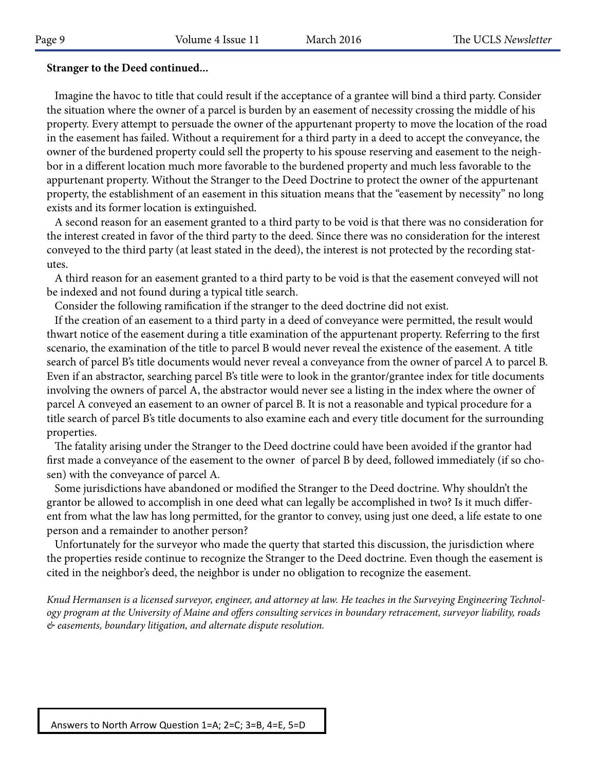# **Stranger to the Deed continued...**

 Imagine the havoc to title that could result if the acceptance of a grantee will bind a third party. Consider the situation where the owner of a parcel is burden by an easement of necessity crossing the middle of his property. Every attempt to persuade the owner of the appurtenant property to move the location of the road in the easement has failed. Without a requirement for a third party in a deed to accept the conveyance, the owner of the burdened property could sell the property to his spouse reserving and easement to the neighbor in a different location much more favorable to the burdened property and much less favorable to the appurtenant property. Without the Stranger to the Deed Doctrine to protect the owner of the appurtenant property, the establishment of an easement in this situation means that the "easement by necessity" no long exists and its former location is extinguished.

 A second reason for an easement granted to a third party to be void is that there was no consideration for the interest created in favor of the third party to the deed. Since there was no consideration for the interest conveyed to the third party (at least stated in the deed), the interest is not protected by the recording statutes.

 A third reason for an easement granted to a third party to be void is that the easement conveyed will not be indexed and not found during a typical title search.

Consider the following ramification if the stranger to the deed doctrine did not exist.

 If the creation of an easement to a third party in a deed of conveyance were permitted, the result would thwart notice of the easement during a title examination of the appurtenant property. Referring to the first scenario, the examination of the title to parcel B would never reveal the existence of the easement. A title search of parcel B's title documents would never reveal a conveyance from the owner of parcel A to parcel B. Even if an abstractor, searching parcel B's title were to look in the grantor/grantee index for title documents involving the owners of parcel A, the abstractor would never see a listing in the index where the owner of parcel A conveyed an easement to an owner of parcel B. It is not a reasonable and typical procedure for a title search of parcel B's title documents to also examine each and every title document for the surrounding properties.

properties.<br>The fatality arising under the Stranger to the Deed doctrine could have been avoided if the grantor had first made a conveyance of the easement to the owner of parcel B by deed, followed immediately (if so chosen) with the conveyance of parcel A. **2**

Some jurisdictions have abandoned or modified the Stranger to the Deed doctrine. Why shouldn't the most initial contract the connection of the stranger of the Deed doctrine. Why shouldn't the most of the connection of the grantor be allowed to accomplish in one deed what can legally be accomplished in two? Is it much different from what the law has long permitted, for the grantor to convey, using just one deed, a life estate to one **3** person and a remainder to another person?

Unfortunately for the surveyor who made the querty that started this discussion, the jurisdiction where Unfortunately for the surveyor who made the querty that started this discussion, the jurisdiction where the properties reside continue to recognize the Stranger to the Deed doctrine. Even though the easement is cited in the neighbor's deed, the neighbor is under no obligation to recognize the easement. **4**

*Knud Hermansen is a licensed surveyor, engineer, and attorney at law. He teaches in the Surveying Engineering Technol-*Surveying **4 = .** *ogy program at the University of Maine and offers consulting services in boundary retracement, surveyor liability, roads & easements, boundary litigation, and alternate dispute resolution.* **5**